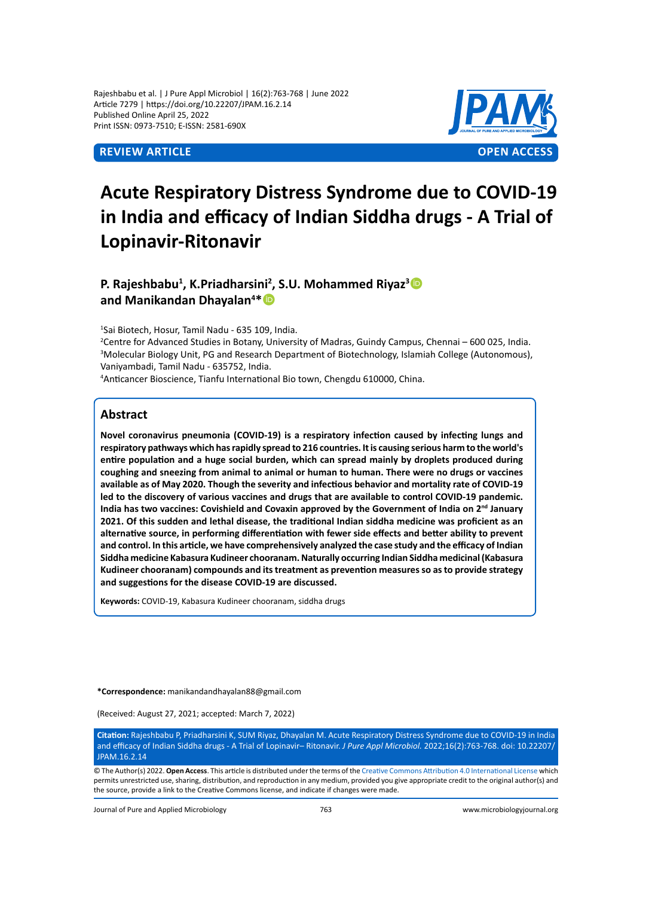Rajeshbabu et al. | J Pure Appl Microbiol | 16(2):763-768 | June 2022 Article 7279 | https://doi.org/10.22207/JPAM.16.2.14 Published Online April 25, 2022 Print ISSN: 0973-7510; E-ISSN: 2581-690X



# **Acute Respiratory Distress Syndrome due to COVID-19 in India and efficacy of Indian Siddha drugs - A Trial of Lopinavir-Ritonavir**

# **P. Rajeshbabu<sup>1</sup> , K.Priadharsini<sup>2</sup> , S.U. Mohammed Riyaz<sup>3</sup> and Manikandan Dhayalan<sup>4</sup> \***

1 Sai Biotech, Hosur, Tamil Nadu - 635 109, India.

2 Centre for Advanced Studies in Botany, University of Madras, Guindy Campus, Chennai – 600 025, India. 3 Molecular Biology Unit, PG and Research Department of Biotechnology, Islamiah College (Autonomous), Vaniyambadi, Tamil Nadu - 635752, India.

4 Anticancer Bioscience, Tianfu International Bio town, Chengdu 610000, China.

# **Abstract**

**Novel coronavirus pneumonia (COVID-19) is a respiratory infection caused by infecting lungs and respiratory pathways which has rapidly spread to 216 countries. It is causing serious harm to the world's entire population and a huge social burden, which can spread mainly by droplets produced during coughing and sneezing from animal to animal or human to human. There were no drugs or vaccines available as of May 2020. Though the severity and infectious behavior and mortality rate of COVID-19 led to the discovery of various vaccines and drugs that are available to control COVID-19 pandemic. India has two vaccines: Covishield and Covaxin approved by the Government of India on 2nd January 2021. Of this sudden and lethal disease, the traditional Indian siddha medicine was proficient as an alternative source, in performing differentiation with fewer side effects and better ability to prevent and control. In this article, we have comprehensively analyzed the case study and the efficacy of Indian Siddha medicine Kabasura Kudineer chooranam. Naturally occurring Indian Siddha medicinal (Kabasura Kudineer chooranam) compounds and its treatment as prevention measures so as to provide strategy and suggestions for the disease COVID-19 are discussed.**

**Keywords:** COVID-19, Kabasura Kudineer chooranam, siddha drugs

**\*Correspondence:** manikandandhayalan88@gmail.com

(Received: August 27, 2021; accepted: March 7, 2022)

**Citation:** Rajeshbabu P, Priadharsini K, SUM Riyaz, Dhayalan M. Acute Respiratory Distress Syndrome due to COVID-19 in India and efficacy of Indian Siddha drugs - A Trial of Lopinavir– Ritonavir. *J Pure Appl Microbiol.* 2022;16(2):763-768. doi: 10.22207/ JPAM.16.2.14

© The Author(s) 2022. **Open Access**. This article is distributed under the terms of the [Creative Commons Attribution 4.0 International License](https://creativecommons.org/licenses/by/4.0/) which permits unrestricted use, sharing, distribution, and reproduction in any medium, provided you give appropriate credit to the original author(s) and the source, provide a link to the Creative Commons license, and indicate if changes were made.

Journal of Pure and Applied Microbiology 763 www.microbiologyjournal.org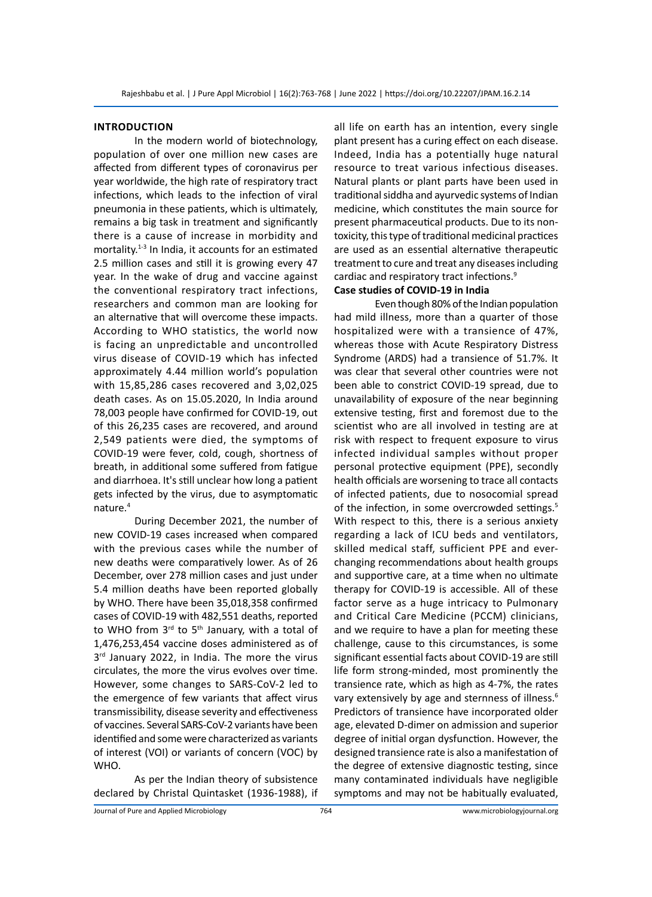#### **Introduction**

In the modern world of biotechnology, population of over one million new cases are affected from different types of coronavirus per year worldwide, the high rate of respiratory tract infections, which leads to the infection of viral pneumonia in these patients, which is ultimately, remains a big task in treatment and significantly there is a cause of increase in morbidity and mortality.<sup>1-3</sup> In India, it accounts for an estimated 2.5 million cases and still it is growing every 47 year. In the wake of drug and vaccine against the conventional respiratory tract infections, researchers and common man are looking for an alternative that will overcome these impacts. According to WHO statistics, the world now is facing an unpredictable and uncontrolled virus disease of COVID-19 which has infected approximately 4.44 million world's population with 15,85,286 cases recovered and 3,02,025 death cases. As on 15.05.2020, In India around 78,003 people have confirmed for COVID-19, out of this 26,235 cases are recovered, and around 2,549 patients were died, the symptoms of COVID-19 were fever, cold, cough, shortness of breath, in additional some suffered from fatigue and diarrhoea. It's still unclear how long a patient gets infected by the virus, due to asymptomatic nature.4

During December 2021, the number of new COVID-19 cases increased when compared with the previous cases while the number of new deaths were comparatively lower. As of 26 December, over 278 million cases and just under 5.4 million deaths have been reported globally by WHO. There have been 35,018,358 confirmed cases of COVID-19 with 482,551 deaths, reported to WHO from  $3<sup>rd</sup>$  to  $5<sup>th</sup>$  January, with a total of 1,476,253,454 vaccine doses administered as of  $3<sup>rd</sup>$  January 2022, in India. The more the virus circulates, the more the virus evolves over time. However, some changes to SARS-CoV-2 led to the emergence of few variants that affect virus transmissibility, disease severity and effectiveness of vaccines. Several SARS-CoV-2 variants have been identified and some were characterized as variants of interest (VOI) or variants of concern (VOC) by WHO.

As per the Indian theory of subsistence declared by Christal Quintasket (1936-1988), if all life on earth has an intention, every single plant present has a curing effect on each disease. Indeed, India has a potentially huge natural resource to treat various infectious diseases. Natural plants or plant parts have been used in traditional siddha and ayurvedic systems of Indian medicine, which constitutes the main source for present pharmaceutical products. Due to its nontoxicity, this type of traditional medicinal practices are used as an essential alternative therapeutic treatment to cure and treat any diseases including cardiac and respiratory tract infections.<sup>9</sup>

# **Case studies of COVID-19 in India**

Even though 80% of the Indian population had mild illness, more than a quarter of those hospitalized were with a transience of 47%, whereas those with Acute Respiratory Distress Syndrome (ARDS) had a transience of 51.7%. It was clear that several other countries were not been able to constrict COVID-19 spread, due to unavailability of exposure of the near beginning extensive testing, first and foremost due to the scientist who are all involved in testing are at risk with respect to frequent exposure to virus infected individual samples without proper personal protective equipment (PPE), secondly health officials are worsening to trace all contacts of infected patients, due to nosocomial spread of the infection, in some overcrowded settings.<sup>5</sup> With respect to this, there is a serious anxiety regarding a lack of ICU beds and ventilators, skilled medical staff, sufficient PPE and everchanging recommendations about health groups and supportive care, at a time when no ultimate therapy for COVID-19 is accessible. All of these factor serve as a huge intricacy to Pulmonary and Critical Care Medicine (PCCM) clinicians, and we require to have a plan for meeting these challenge, cause to this circumstances, is some significant essential facts about COVID-19 are still life form strong-minded, most prominently the transience rate, which as high as 4-7%, the rates vary extensively by age and sternness of illness.<sup>6</sup> Predictors of transience have incorporated older age, elevated D-dimer on admission and superior degree of initial organ dysfunction. However, the designed transience rate is also a manifestation of the degree of extensive diagnostic testing, since many contaminated individuals have negligible symptoms and may not be habitually evaluated,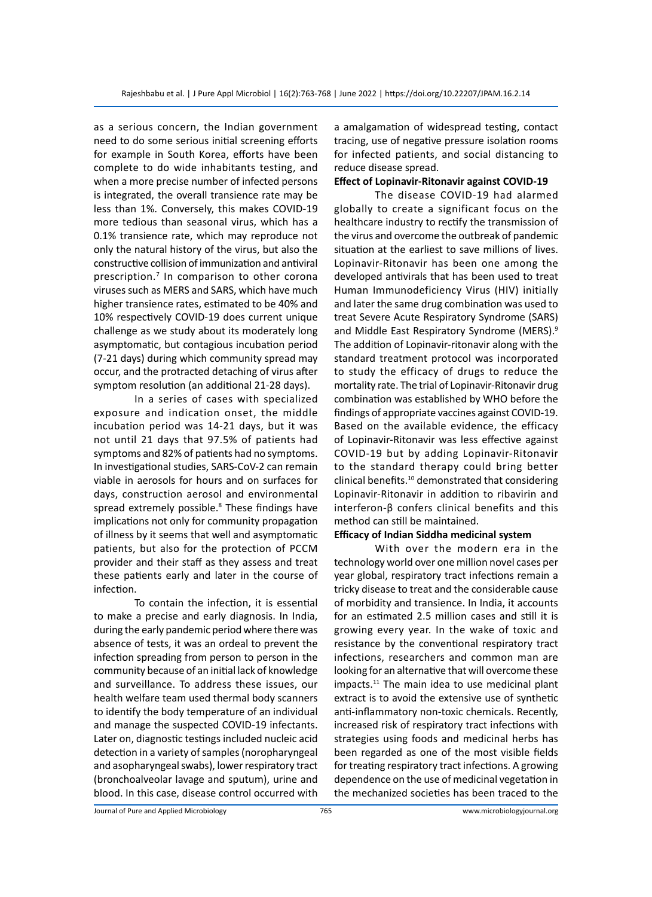as a serious concern, the Indian government need to do some serious initial screening efforts for example in South Korea, efforts have been complete to do wide inhabitants testing, and when a more precise number of infected persons is integrated, the overall transience rate may be less than 1%. Conversely, this makes COVID-19 more tedious than seasonal virus, which has a 0.1% transience rate, which may reproduce not only the natural history of the virus, but also the constructive collision of immunization and antiviral prescription.7 In comparison to other corona viruses such as MERS and SARS, which have much higher transience rates, estimated to be 40% and 10% respectively COVID-19 does current unique challenge as we study about its moderately long asymptomatic, but contagious incubation period (7-21 days) during which community spread may occur, and the protracted detaching of virus after symptom resolution (an additional 21-28 days).

In a series of cases with specialized exposure and indication onset, the middle incubation period was 14-21 days, but it was not until 21 days that 97.5% of patients had symptoms and 82% of patients had no symptoms. In investigational studies, SARS-CoV-2 can remain viable in aerosols for hours and on surfaces for days, construction aerosol and environmental spread extremely possible.<sup>8</sup> These findings have implications not only for community propagation of illness by it seems that well and asymptomatic patients, but also for the protection of PCCM provider and their staff as they assess and treat these patients early and later in the course of infection.

To contain the infection, it is essential to make a precise and early diagnosis. In India, during the early pandemic period where there was absence of tests, it was an ordeal to prevent the infection spreading from person to person in the community because of an initial lack of knowledge and surveillance. To address these issues, our health welfare team used thermal body scanners to identify the body temperature of an individual and manage the suspected COVID-19 infectants. Later on, diagnostic testings included nucleic acid detection in a variety of samples (noropharyngeal and asopharyngeal swabs), lower respiratory tract (bronchoalveolar lavage and sputum), urine and blood. In this case, disease control occurred with a amalgamation of widespread testing, contact tracing, use of negative pressure isolation rooms for infected patients, and social distancing to reduce disease spread.

### **Effect of Lopinavir-Ritonavir against COVID-19**

The disease COVID-19 had alarmed globally to create a significant focus on the healthcare industry to rectify the transmission of the virus and overcome the outbreak of pandemic situation at the earliest to save millions of lives. Lopinavir-Ritonavir has been one among the developed antivirals that has been used to treat Human Immunodeficiency Virus (HIV) initially and later the same drug combination was used to treat Severe Acute Respiratory Syndrome (SARS) and Middle East Respiratory Syndrome (MERS).9 The addition of Lopinavir-ritonavir along with the standard treatment protocol was incorporated to study the efficacy of drugs to reduce the mortality rate. The trial of Lopinavir-Ritonavir drug combination was established by WHO before the findings of appropriate vaccines against COVID-19. Based on the available evidence, the efficacy of Lopinavir-Ritonavir was less effective against COVID-19 but by adding Lopinavir-Ritonavir to the standard therapy could bring better clinical benefits.<sup>10</sup> demonstrated that considering Lopinavir-Ritonavir in addition to ribavirin and interferon-β confers clinical benefits and this method can still be maintained.

# **Efficacy of Indian Siddha medicinal system**

With over the modern era in the technology world over one million novel cases per year global, respiratory tract infections remain a tricky disease to treat and the considerable cause of morbidity and transience. In India, it accounts for an estimated 2.5 million cases and still it is growing every year. In the wake of toxic and resistance by the conventional respiratory tract infections, researchers and common man are looking for an alternative that will overcome these impacts.11 The main idea to use medicinal plant extract is to avoid the extensive use of synthetic anti-inflammatory non-toxic chemicals. Recently, increased risk of respiratory tract infections with strategies using foods and medicinal herbs has been regarded as one of the most visible fields for treating respiratory tract infections. A growing dependence on the use of medicinal vegetation in the mechanized societies has been traced to the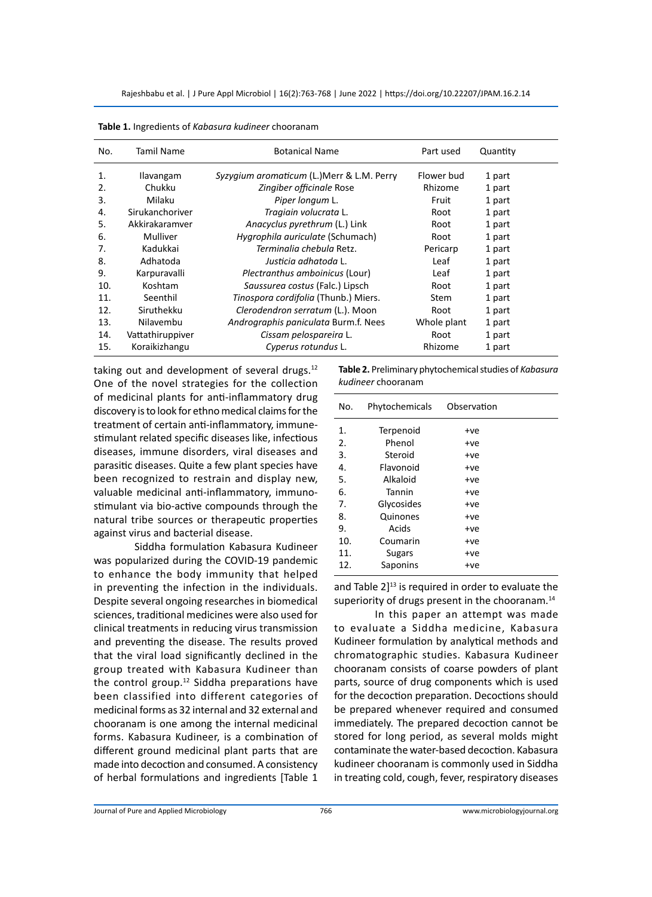| No. | Tamil Name       | <b>Botanical Name</b>                     | Part used   | Quantity |
|-----|------------------|-------------------------------------------|-------------|----------|
| 1.  | <b>Ilavangam</b> | Syzygium aromaticum (L.)Merr & L.M. Perry | Flower bud  | 1 part   |
| 2.  | Chukku           | Zingiber officinale Rose                  | Rhizome     | 1 part   |
| 3.  | Milaku           | Piper longum L.                           | Fruit       | 1 part   |
| 4.  | Sirukanchoriver  | Tragiain volucrata L.                     | Root        | 1 part   |
| 5.  | Akkirakaramver   | Anacyclus pyrethrum (L.) Link             | Root        | 1 part   |
| 6.  | Mulliver         | Hygrophila auriculate (Schumach)          | Root        | 1 part   |
| 7.  | Kadukkai         | Terminalia chebula Retz.                  | Pericarp    | 1 part   |
| 8.  | Adhatoda         | Justicia adhatoda L.                      | Leaf        | 1 part   |
| 9.  | Karpuravalli     | Plectranthus amboinicus (Lour)            | Leaf        | 1 part   |
| 10. | Koshtam          | Saussurea costus (Falc.) Lipsch           | Root        | 1 part   |
| 11. | Seenthil         | Tinospora cordifolia (Thunb.) Miers.      | <b>Stem</b> | 1 part   |
| 12. | Siruthekku       | Clerodendron serratum (L.). Moon          | Root        | 1 part   |
| 13. | Nilavembu        | Andrographis paniculata Burm.f. Nees      | Whole plant | 1 part   |
| 14. | Vattathiruppiver | Cissam pelospareira L.                    | Root        | 1 part   |
| 15. | Koraikizhangu    | Cyperus rotundus L.                       | Rhizome     | 1 part   |

**Table 1.** Ingredients of *Kabasura kudineer* chooranam

taking out and development of several drugs. $12$ One of the novel strategies for the collection of medicinal plants for anti-inflammatory drug discovery is to look for ethno medical claims for the treatment of certain anti-inflammatory, immunestimulant related specific diseases like, infectious diseases, immune disorders, viral diseases and parasitic diseases. Quite a few plant species have been recognized to restrain and display new, valuable medicinal anti-inflammatory, immunostimulant via bio-active compounds through the natural tribe sources or therapeutic properties against virus and bacterial disease.

Siddha formulation Kabasura Kudineer was popularized during the COVID-19 pandemic to enhance the body immunity that helped in preventing the infection in the individuals. Despite several ongoing researches in biomedical sciences, traditional medicines were also used for clinical treatments in reducing virus transmission and preventing the disease. The results proved that the viral load significantly declined in the group treated with Kabasura Kudineer than the control group. $12$  Siddha preparations have been classified into different categories of medicinal forms as 32 internal and 32 external and chooranam is one among the internal medicinal forms. Kabasura Kudineer, is a combination of different ground medicinal plant parts that are made into decoction and consumed. A consistency of herbal formulations and ingredients [Table 1

**Table 2.** Preliminary phytochemical studies of *Kabasura kudineer* chooranam

| No. | Phytochemicals | Observation |  |
|-----|----------------|-------------|--|
| 1.  | Terpenoid      | +ve         |  |
| 2.  | Phenol         | +ve         |  |
| 3.  | Steroid        | $+ve$       |  |
| 4.  | Flavonoid      | $+ve$       |  |
| 5.  | Alkaloid       | $+ve$       |  |
| 6.  | Tannin         | +ve         |  |
| 7.  | Glycosides     | +ve         |  |
| 8.  | Quinones       | +ve         |  |
| 9.  | Acids          | +ve         |  |
| 10. | Coumarin       | $+ve$       |  |
| 11. | <b>Sugars</b>  | $+ve$       |  |
| 12. | Saponins       | +ve         |  |
|     |                |             |  |

and Table  $2$ <sup>13</sup> is required in order to evaluate the superiority of drugs present in the chooranam.<sup>14</sup>

In this paper an attempt was made to evaluate a Siddha medicine, Kabasura Kudineer formulation by analytical methods and chromatographic studies. Kabasura Kudineer chooranam consists of coarse powders of plant parts, source of drug components which is used for the decoction preparation. Decoctions should be prepared whenever required and consumed immediately. The prepared decoction cannot be stored for long period, as several molds might contaminate the water-based decoction. Kabasura kudineer chooranam is commonly used in Siddha in treating cold, cough, fever, respiratory diseases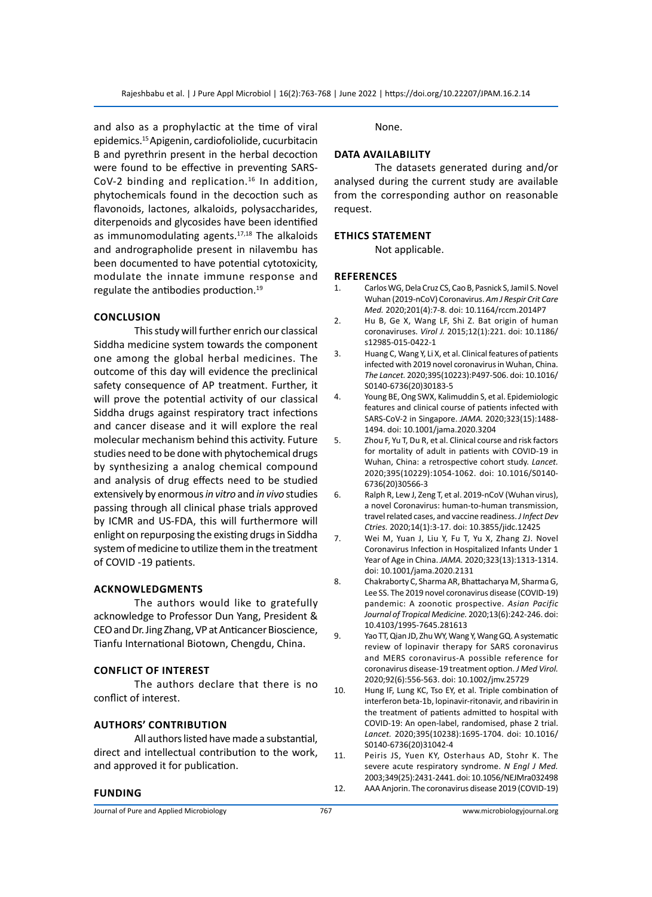and also as a prophylactic at the time of viral epidemics.15 Apigenin, cardiofoliolide, cucurbitacin B and pyrethrin present in the herbal decoction were found to be effective in preventing SARS-CoV-2 binding and replication.<sup>16</sup> In addition, phytochemicals found in the decoction such as flavonoids, lactones, alkaloids, polysaccharides, diterpenoids and glycosides have been identified as immunomodulating agents. $17,18$  The alkaloids and andrographolide present in nilavembu has been documented to have potential cytotoxicity, modulate the innate immune response and regulate the antibodies production.<sup>19</sup>

#### **Conclusion**

This study will further enrich our classical Siddha medicine system towards the component one among the global herbal medicines. The outcome of this day will evidence the preclinical safety consequence of AP treatment. Further, it will prove the potential activity of our classical Siddha drugs against respiratory tract infections and cancer disease and it will explore the real molecular mechanism behind this activity. Future studies need to be done with phytochemical drugs by synthesizing a analog chemical compound and analysis of drug effects need to be studied extensively by enormous *in vitro* and *in vivo* studies passing through all clinical phase trials approved by ICMR and US-FDA, this will furthermore will enlight on repurposing the existing drugs in Siddha system of medicine to utilize them in the treatment of COVID -19 patients.

#### **Acknowledgments**

The authors would like to gratefully acknowledge to Professor Dun Yang, President & CEO and Dr. Jing Zhang, VP at Anticancer Bioscience, Tianfu International Biotown, Chengdu, China.

#### **Conflict of Interest**

The authors declare that there is no conflict of interest.

#### **Authors' Contribution**

All authors listed have made a substantial, direct and intellectual contribution to the work, and approved it for publication.

#### **Funding**

None.

#### **Data Availability**

The datasets generated during and/or analysed during the current study are available from the corresponding author on reasonable request.

#### **Ethics Statement**

Not applicable.

#### **References**

- 1. Carlos WG, Dela Cruz CS, Cao B, Pasnick S, Jamil S. Novel Wuhan (2019-nCoV) Coronavirus. *Am J Respir Crit Care Med.* 2020;201(4):7-8. doi: 10.1164/rccm.2014P7
- 2. Hu B, Ge X, Wang LF, Shi Z. Bat origin of human coronaviruses. *Virol J.* 2015;12(1):221. doi: 10.1186/ s12985-015-0422-1
- 3. Huang C, Wang Y, Li X, et al. Clinical features of patients infected with 2019 novel coronavirus in Wuhan, China. *The Lancet.* 2020;395(10223):P497-506. doi: 10.1016/ S0140-6736(20)30183-5
- 4. Young BE, Ong SWX, Kalimuddin S, et al. Epidemiologic features and clinical course of patients infected with SARS-CoV-2 in Singapore. *JAMA.* 2020;323(15):1488- 1494. doi: 10.1001/jama.2020.3204
- 5. Zhou F, Yu T, Du R, et al. Clinical course and risk factors for mortality of adult in patients with COVID-19 in Wuhan, China: a retrospective cohort study. *Lancet.* 2020;395(10229):1054-1062. doi: 10.1016/S0140- 6736(20)30566-3
- 6. Ralph R, Lew J, Zeng T, et al. 2019-nCoV (Wuhan virus), a novel Coronavirus: human-to-human transmission, travel related cases, and vaccine readiness. *J Infect Dev Ctries.* 2020;14(1):3-17. doi: 10.3855/jidc.12425
- 7. Wei M, Yuan J, Liu Y, Fu T, Yu X, Zhang ZJ. Novel Coronavirus Infection in Hospitalized Infants Under 1 Year of Age in China. *JAMA.* 2020;323(13):1313-1314. doi: 10.1001/jama.2020.2131
- 8. Chakraborty C, Sharma AR, Bhattacharya M, Sharma G, Lee SS. The 2019 novel coronavirus disease (COVID-19) pandemic: A zoonotic prospective. *Asian Pacific Journal of Tropical Medicine.* 2020;13(6):242-246. doi: 10.4103/1995-7645.281613
- 9. Yao TT, Qian JD, Zhu WY, Wang Y, Wang GQ. A systematic review of lopinavir therapy for SARS coronavirus and MERS coronavirus-A possible reference for coronavirus disease-19 treatment option. *J Med Virol.* 2020;92(6):556-563. doi: 10.1002/jmv.25729
- 10. Hung IF, Lung KC, Tso EY, et al. Triple combination of interferon beta-1b, lopinavir-ritonavir, and ribavirin in the treatment of patients admitted to hospital with COVID-19: An open-label, randomised, phase 2 trial. *Lancet.* 2020;395(10238):1695-1704. doi: 10.1016/ S0140-6736(20)31042-4
- 11. Peiris JS, Yuen KY, Osterhaus AD, Stohr K. The severe acute respiratory syndrome. *N Engl J Med.*  2003;349(25):2431-2441. doi: 10.1056/NEJMra032498 12. AAA Anjorin. The coronavirus disease 2019 (COVID-19)